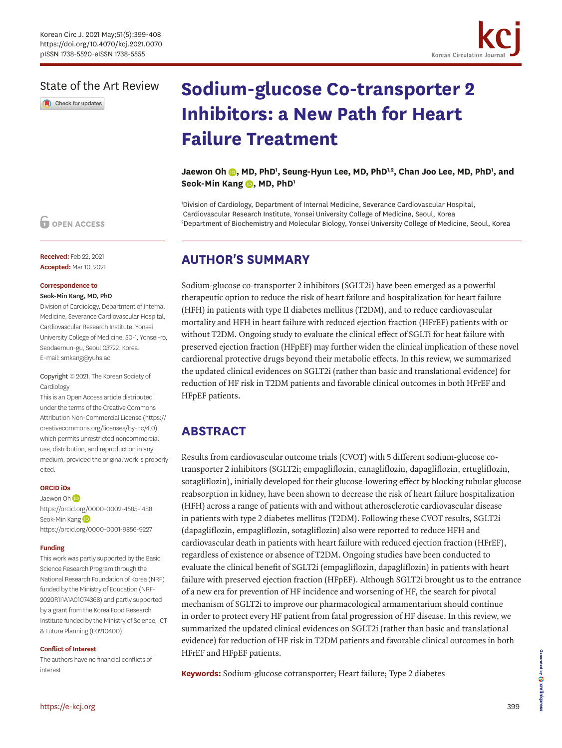

### State of the Art Review

Check for updates

# **Sodium-glucose Co-transporter 2 Inhibitors: a New Path for Heart Failure Treatment**

Jaewon Oh (D, MD, PhD<sup>1</sup>, Seung-Hyun Lee, MD, PhD<sup>1,2</sup>, Chan Joo Lee, MD, PhD<sup>1</sup>, and Seok-Min Kang **D**, MD, PhD<sup>1</sup>

1 Division of Cardiology, Department of Internal Medicine, Severance Cardiovascular Hospital, Cardiovascular Research Institute, Yonsei University College of Medicine, Seoul, Korea 2 Department of Biochemistry and Molecular Biology, Yonsei University College of Medicine, Seoul, Korea

### **AUTHOR'S SUMMARY**

Sodium-glucose co-transporter 2 inhibitors (SGLT2i) have been emerged as a powerful therapeutic option to reduce the risk of heart failure and hospitalization for heart failure (HFH) in patients with type II diabetes mellitus (T2DM), and to reduce cardiovascular mortality and HFH in heart failure with reduced ejection fraction (HFrEF) patients with or without T2DM. Ongoing study to evaluate the clinical effect of SGLTi for heat failure with preserved ejection fraction (HFpEF) may further widen the clinical implication of these novel cardiorenal protective drugs beyond their metabolic effects. In this review, we summarized the updated clinical evidences on SGLT2i (rather than basic and translational evidence) for reduction of HF risk in T2DM patients and favorable clinical outcomes in both HFrEF and HFpEF patients.

# **ABSTRACT**

Results from cardiovascular outcome trials (CVOT) with 5 different sodium-glucose cotransporter 2 inhibitors (SGLT2i; empagliflozin, canagliflozin, dapagliflozin, ertugliflozin, sotagliflozin), initially developed for their glucose-lowering effect by blocking tubular glucose reabsorption in kidney, have been shown to decrease the risk of heart failure hospitalization (HFH) across a range of patients with and without atherosclerotic cardiovascular disease in patients with type 2 diabetes mellitus (T2DM). Following these CVOT results, SGLT2i (dapagliflozin, empagliflozin, sotagliflozin) also were reported to reduce HFH and cardiovascular death in patients with heart failure with reduced ejection fraction (HFrEF), regardless of existence or absence of T2DM. Ongoing studies have been conducted to evaluate the clinical benefit of SGLT2i (empagliflozin, dapagliflozin) in patients with heart failure with preserved ejection fraction (HFpEF). Although SGLT2i brought us to the entrance of a new era for prevention of HF incidence and worsening of HF, the search for pivotal mechanism of SGLT2i to improve our pharmacological armamentarium should continue in order to protect every HF patient from fatal progression of HF disease. In this review, we summarized the updated clinical evidences on SGLT2i (rather than basic and translational evidence) for reduction of HF risk in T2DM patients and favorable clinical outcomes in both HFrEF and HFpEF patients.

**Keywords:** Sodium-glucose cotransporter; Heart failure; Type 2 diabetes

### **O** OPEN ACCESS

**Received:** Feb 22, 2021 **Accepted:** Mar 10, 2021

#### **Correspondence to** Seok-Min Kang, MD, PhD

Division of Cardiology, Department of Internal Medicine, Severance Cardiovascular Hospital, Cardiovascular Research Institute, Yonsei University College of Medicine, 50-1, Yonsei-ro, Seodaemun-gu, Seoul 03722, Korea. E-mail: smkang@yuhs.ac

#### Copyright © 2021. The Korean Society of **Cardiology**

This is an Open Access article distributed under the terms of the Creative Commons Attribution Non-Commercial License [\(https://](https://creativecommons.org/licenses/by-nc/4.0) [creativecommons.org/licenses/by-nc/4.0](https://creativecommons.org/licenses/by-nc/4.0)) which permits unrestricted noncommercial use, distribution, and reproduction in any medium, provided the original work is properly cited.

#### **ORCID iDs**

Jaewon Oh<sup>(D</sup> <https://orcid.org/0000-0002-4585-1488> Seok-MinKang <https://orcid.org/0000-0001-9856-9227>

#### **Funding**

This work was partly supported by the Basic Science Research Program through the National Research Foundation of Korea (NRF) funded by the Ministry of Education (NRF-2020R1I1A1A01074368) and partly supported by a grant from the Korea Food Research Institute funded by the Ministry of Science, ICT & Future Planning (E0210400).

#### **Conflict of Interest**

The authors have no financial conflicts of interest.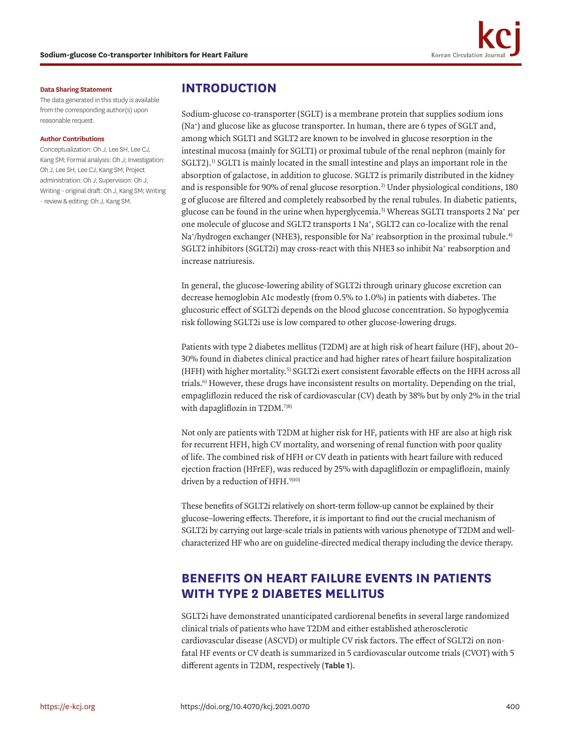#### **Data Sharing Statement**

The data generated in this study is available from the corresponding author(s) upon reasonable request.

#### **Author Contributions**

Conceptualization: Oh J, Lee SH, Lee CJ, Kang SM; Formal analysis: Oh J; Investigation: Oh J, Lee SH, Lee CJ, Kang SM; Project administration: Oh J; Supervision: Oh J; Writing - original draft: Oh J, Kang SM; Writing - review & editing: Oh J, Kang SM.

### **INTRODUCTION**

<span id="page-1-1"></span><span id="page-1-0"></span>Sodium-glucose co-transporter (SGLT) is a membrane protein that supplies sodium ions (Na+ ) and glucose like as glucose transporter. In human, there are 6 types of SGLT and, among which SGLT1 and SGLT2 are known to be involved in glucose resorption in the intestinal mucosa (mainly for SGLT1) or proximal tubule of the renal nephron (mainly for SGLT2).<sup>1)</sup> SGLT1 is mainly located in the small intestine and plays an important role in the absorption of galactose, in addition to glucose. SGLT2 is primarily distributed in the kidney and is responsible for 90% of renal glucose resorption.[2\)](#page-7-1) Under physiological conditions, 180 g of glucose are filtered and completely reabsorbed by the renal tubules. In diabetic patients, glucose can be found in the urine when hyperglycemia[.3\)](#page-7-2) Whereas SGLT1 transports 2 Na+ per one molecule of glucose and SGLT2 transports 1 Na<sup>+</sup>, SGLT2 can co-localize with the renal Na†/hydrogen exchanger (NHE3), responsible for Na† reabsorption in the proximal tubule.<sup>[4\)](#page-7-3)</sup> SGLT2 inhibitors (SGLT2i) may cross-react with this NHE3 so inhibit Na+ reabsorption and increase natriuresis.

<span id="page-1-2"></span>In general, the glucose-lowering ability of SGLT2i through urinary glucose excretion can decrease hemoglobin A1c modestly (from 0.5% to 1.0%) in patients with diabetes. The glucosuric effect of SGLT2i depends on the blood glucose concentration. So hypoglycemia risk following SGLT2i use is low compared to other glucose-lowering drugs.

<span id="page-1-3"></span>Patients with type 2 diabetes mellitus (T2DM) are at high risk of heart failure (HF), about 20– 30% found in diabetes clinical practice and had higher rates of heart failure hospitalization (HFH) with higher mortality.[5\)](#page-7-4) SGLT2i exert consistent favorable effects on the HFH across all trials.[6\)](#page-7-5) However, these drugs have inconsistent results on mortality. Depending on the trial, empagliflozin reduced the risk of cardiovascular (CV) death by 38% but by only 2% in the trial with dapagliflozin in T2DM.[7\)](#page-8-0)[8\)](#page-8-1)

Not only are patients with T2DM at higher risk for HF, patients with HF are also at high risk for recurrent HFH, high CV mortality, and worsening of renal function with poor quality of life. The combined risk of HFH or CV death in patients with heart failure with reduced ejection fraction (HFrEF), was reduced by 25% with dapagliflozin or empagliflozin, mainly driven by a reduction of HFH.<sup>[9\)](#page-8-2)[10\)](#page-8-3)</sup>

These benefits of SGLT2i relatively on short-term follow-up cannot be explained by their glucose–lowering effects. Therefore, it is important to find out the crucial mechanism of SGLT2i by carrying out large-scale trials in patients with various phenotype of T2DM and wellcharacterized HF who are on guideline-directed medical therapy including the device therapy.

# **BENEFITS ON HEART FAILURE EVENTS IN PATIENTS WITH TYPE 2 DIABETES MELLITUS**

SGLT2i have demonstrated unanticipated cardiorenal benefits in several large randomized clinical trials of patients who have T2DM and either established atherosclerotic cardiovascular disease (ASCVD) or multiple CV risk factors. The effect of SGLT2i on nonfatal HF events or CV death is summarized in 5 cardiovascular outcome trials (CVOT) with 5 different agents in T2DM, respectively (**[Table 1](#page-2-0)**).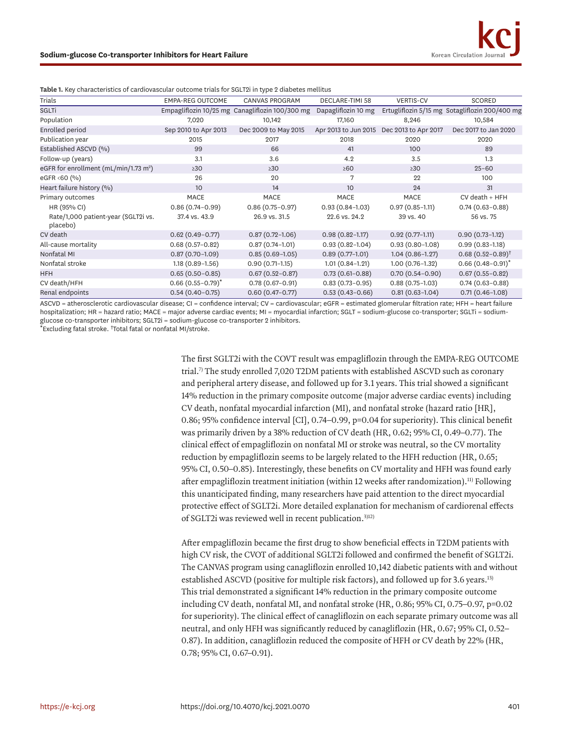| <b>Table 1.</b> Key characteristics of cardiovascular outcome trials for SQLT21 in type 2 diabetes methols |                         |                                                 |                      |                      |                                                |  |  |  |  |  |
|------------------------------------------------------------------------------------------------------------|-------------------------|-------------------------------------------------|----------------------|----------------------|------------------------------------------------|--|--|--|--|--|
| Trials                                                                                                     | <b>EMPA-REG OUTCOME</b> | <b>CANVAS PROGRAM</b>                           | DECLARE-TIMI 58      | <b>VERTIS-CV</b>     | SCORED                                         |  |  |  |  |  |
| SGLTi                                                                                                      |                         | Empagliflozin 10/25 mg Canagliflozin 100/300 mg | Dapagliflozin 10 mg  |                      | Ertugliflozin 5/15 mg Sotagliflozin 200/400 mg |  |  |  |  |  |
| Population                                                                                                 | 7,020                   | 10,142                                          | 17,160               | 8,246                | 10,584                                         |  |  |  |  |  |
| Enrolled period                                                                                            | Sep 2010 to Apr 2013    | Dec 2009 to May 2015                            | Apr 2013 to Jun 2015 | Dec 2013 to Apr 2017 | Dec 2017 to Jan 2020                           |  |  |  |  |  |
| Publication year                                                                                           | 2015                    | 2017                                            | 2018                 | 2020                 | 2020                                           |  |  |  |  |  |
| Established ASCVD (%)                                                                                      | 99                      | 66                                              | 41                   | 100                  | 89                                             |  |  |  |  |  |
| Follow-up (years)                                                                                          | 3.1                     | 3.6                                             | 4.2                  | 3.5                  | 1.3                                            |  |  |  |  |  |
| eGFR for enrollment (mL/min/1.73 m <sup>2</sup> )                                                          | $\geq 30$               | >30                                             | $\geq 60$            | $\geq 30$            | $25 - 60$                                      |  |  |  |  |  |
| eGFR <60 (%)                                                                                               | 26                      | 20                                              | 7                    | 22                   | 100                                            |  |  |  |  |  |
| Heart failure history (%)                                                                                  | 10 <sup>°</sup>         | 14                                              | 10                   | 24                   | 31                                             |  |  |  |  |  |
| Primary outcomes                                                                                           | <b>MACE</b>             | <b>MACE</b>                                     | MACE                 | <b>MACE</b>          | $CV$ death + $HFH$                             |  |  |  |  |  |
| HR (95% CI)                                                                                                | $0.86(0.74 - 0.99)$     | $0.86(0.75 - 0.97)$                             | $0.93(0.84-1.03)$    | $0.97(0.85 - 1.11)$  | $0.74(0.63 - 0.88)$                            |  |  |  |  |  |
| Rate/1,000 patient-year (SGLT2i vs.<br>placebo)                                                            | 37.4 vs. 43.9           | 26.9 vs. 31.5                                   | 22.6 vs. 24.2        | 39 vs. 40            | 56 vs. 75                                      |  |  |  |  |  |
| CV death                                                                                                   | $0.62(0.49 - 0.77)$     | $0.87(0.72 - 1.06)$                             | $0.98(0.82 - 1.17)$  | $0.92(0.77-1.11)$    | $0.90(0.73-1.12)$                              |  |  |  |  |  |
| All-cause mortality                                                                                        | $0.68(0.57-0.82)$       | $0.87(0.74 - 1.01)$                             | $0.93(0.82 - 1.04)$  | $0.93(0.80 - 1.08)$  | $0.99(0.83-1.18)$                              |  |  |  |  |  |
| Nonfatal MI                                                                                                | $0.87(0.70-1.09)$       | $0.85(0.69-1.05)$                               | $0.89(0.77-1.01)$    | $1.04(0.86 - 1.27)$  | $0.68(0.52 - 0.89)^{\dagger}$                  |  |  |  |  |  |
| Nonfatal stroke                                                                                            | $1.18(0.89 - 1.56)$     | $0.90(0.71-1.15)$                               | $1.01(0.84-1.21)$    | $1.00(0.76 - 1.32)$  | $0.66(0.48 - 0.91)^*$                          |  |  |  |  |  |
| <b>HFH</b>                                                                                                 | $0.65(0.50 - 0.85)$     | $0.67(0.52 - 0.87)$                             | $0.73(0.61 - 0.88)$  | $0.70(0.54 - 0.90)$  | $0.67(0.55 - 0.82)$                            |  |  |  |  |  |
| CV death/HFH                                                                                               | $0.66(0.55 - 0.79)^*$   | $0.78(0.67-0.91)$                               | $0.83(0.73 - 0.95)$  | $0.88(0.75-1.03)$    | $0.74(0.63 - 0.88)$                            |  |  |  |  |  |
| Renal endpoints                                                                                            | $0.54(0.40-0.75)$       | $0.60(0.47-0.77)$                               | $0.53(0.43 - 0.66)$  | $0.81(0.63 - 1.04)$  | $0.71(0.46 - 1.08)$                            |  |  |  |  |  |

<span id="page-2-0"></span>**Table 1.** Key characteristics of cardiovascular outcome trials for SGLT2i in type 2 diabetes mellitus

ASCVD = atherosclerotic cardiovascular disease; CI = confidence interval; CV = cardiovascular; eGFR = estimated glomerular filtration rate; HFH = heart failure hospitalization; HR = hazard ratio; MACE = major adverse cardiac events; MI = myocardial infarction; SGLT = sodium-glucose co-transporter; SGLTi = sodiumglucose co-transporter inhibitors; SGLT2i = sodium-glucose co-transporter 2 inhibitors.

\*Excluding fatal stroke. † Total fatal or nonfatal MI/stroke.

<span id="page-2-2"></span>The first SGLT2i with the COVT result was empagliflozin through the EMPA-REG OUTCOME trial[.7\)](#page-8-0) The study enrolled 7,020 T2DM patients with established ASCVD such as coronary and peripheral artery disease, and followed up for 3.1 years. This trial showed a significant 14% reduction in the primary composite outcome (major adverse cardiac events) including CV death, nonfatal myocardial infarction (MI), and nonfatal stroke (hazard ratio [HR], 0.86; 95% confidence interval [CI], 0.74–0.99, p=0.04 for superiority). This clinical benefit was primarily driven by a 38% reduction of CV death (HR, 0.62; 95% CI, 0.49–0.77). The clinical effect of empagliflozin on nonfatal MI or stroke was neutral, so the CV mortality reduction by empagliflozin seems to be largely related to the HFH reduction (HR, 0.65; 95% CI, 0.50–0.85). Interestingly, these benefits on CV mortality and HFH was found early after empagliflozin treatment initiation (within 12 weeks after randomization).<sup>11)</sup> Following this unanticipated finding, many researchers have paid attention to the direct myocardial protective effect of SGLT2i. More detailed explanation for mechanism of cardiorenal effects of SGLT2i was reviewed well in recent publication.[3\)](#page-7-2)[12\)](#page-8-5)

<span id="page-2-4"></span><span id="page-2-3"></span><span id="page-2-1"></span>After empagliflozin became the first drug to show beneficial effects in T2DM patients with high CV risk, the CVOT of additional SGLT2i followed and confirmed the benefit of SGLT2i. The CANVAS program using canagliflozin enrolled 10,142 diabetic patients with and without established ASCVD (positive for multiple risk factors), and followed up for 3.6 years.<sup>[13\)](#page-8-6)</sup> This trial demonstrated a significant 14% reduction in the primary composite outcome including CV death, nonfatal MI, and nonfatal stroke (HR, 0.86; 95% CI, 0.75–0.97, p=0.02 for superiority). The clinical effect of canagliflozin on each separate primary outcome was all neutral, and only HFH was significantly reduced by canagliflozin (HR, 0.67; 95% CI, 0.52– 0.87). In addition, canagliflozin reduced the composite of HFH or CV death by 22% (HR, 0.78; 95% CI, 0.67–0.91).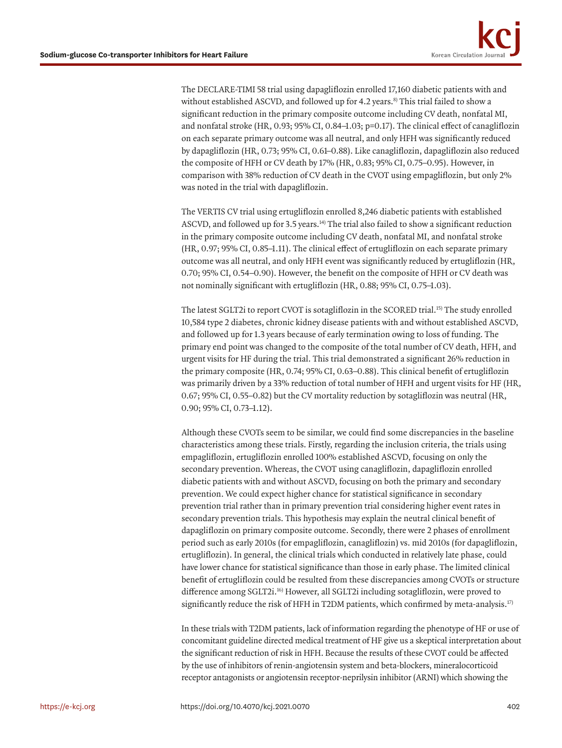<span id="page-3-0"></span>The DECLARE-TIMI 58 trial using dapagliflozin enrolled 17,160 diabetic patients with and without established ASCVD, and followed up for 4.2 years.<sup>8)</sup> This trial failed to show a significant reduction in the primary composite outcome including CV death, nonfatal MI, and nonfatal stroke (HR, 0.93; 95% CI, 0.84–1.03; p=0.17). The clinical effect of canagliflozin on each separate primary outcome was all neutral, and only HFH was significantly reduced by dapagliflozin (HR, 0.73; 95% CI, 0.61–0.88). Like canagliflozin, dapagliflozin also reduced the composite of HFH or CV death by 17% (HR, 0.83; 95% CI, 0.75–0.95). However, in comparison with 38% reduction of CV death in the CVOT using empagliflozin, but only 2% was noted in the trial with dapagliflozin.

<span id="page-3-1"></span>The VERTIS CV trial using ertugliflozin enrolled 8,246 diabetic patients with established ASCVD, and followed up for 3.5 years.[14\)](#page-8-7) The trial also failed to show a significant reduction in the primary composite outcome including CV death, nonfatal MI, and nonfatal stroke (HR, 0.97; 95% CI, 0.85–1.11). The clinical effect of ertugliflozin on each separate primary outcome was all neutral, and only HFH event was significantly reduced by ertugliflozin (HR, 0.70; 95% CI, 0.54–0.90). However, the benefit on the composite of HFH or CV death was not nominally significant with ertugliflozin (HR, 0.88; 95% CI, 0.75–1.03).

<span id="page-3-2"></span>The latest SGLT2i to report CVOT is sotagliflozin in the SCORED trial.[15\)](#page-8-8) The study enrolled 10,584 type 2 diabetes, chronic kidney disease patients with and without established ASCVD, and followed up for 1.3 years because of early termination owing to loss of funding. The primary end point was changed to the composite of the total number of CV death, HFH, and urgent visits for HF during the trial. This trial demonstrated a significant 26% reduction in the primary composite (HR, 0.74; 95% CI, 0.63–0.88). This clinical benefit of ertugliflozin was primarily driven by a 33% reduction of total number of HFH and urgent visits for HF (HR, 0.67; 95% CI, 0.55–0.82) but the CV mortality reduction by sotagliflozin was neutral (HR, 0.90; 95% CI, 0.73–1.12).

Although these CVOTs seem to be similar, we could find some discrepancies in the baseline characteristics among these trials. Firstly, regarding the inclusion criteria, the trials using empagliflozin, ertugliflozin enrolled 100% established ASCVD, focusing on only the secondary prevention. Whereas, the CVOT using canagliflozin, dapagliflozin enrolled diabetic patients with and without ASCVD, focusing on both the primary and secondary prevention. We could expect higher chance for statistical significance in secondary prevention trial rather than in primary prevention trial considering higher event rates in secondary prevention trials. This hypothesis may explain the neutral clinical benefit of dapagliflozin on primary composite outcome. Secondly, there were 2 phases of enrollment period such as early 2010s (for empagliflozin, canagliflozin) vs. mid 2010s (for dapagliflozin, ertugliflozin). In general, the clinical trials which conducted in relatively late phase, could have lower chance for statistical significance than those in early phase. The limited clinical benefit of ertugliflozin could be resulted from these discrepancies among CVOTs or structure difference among SGLT2i.[16\)](#page-8-9) However, all SGLT2i including sotagliflozin, were proved to significantly reduce the risk of HFH in T2DM patients, which confirmed by meta-analysis.<sup>[17\)](#page-8-10)</sup>

<span id="page-3-4"></span><span id="page-3-3"></span>In these trials with T2DM patients, lack of information regarding the phenotype of HF or use of concomitant guideline directed medical treatment of HF give us a skeptical interpretation about the significant reduction of risk in HFH. Because the results of these CVOT could be affected by the use of inhibitors of renin-angiotensin system and beta-blockers, mineralocorticoid receptor antagonists or angiotensin receptor-neprilysin inhibitor (ARNI) which showing the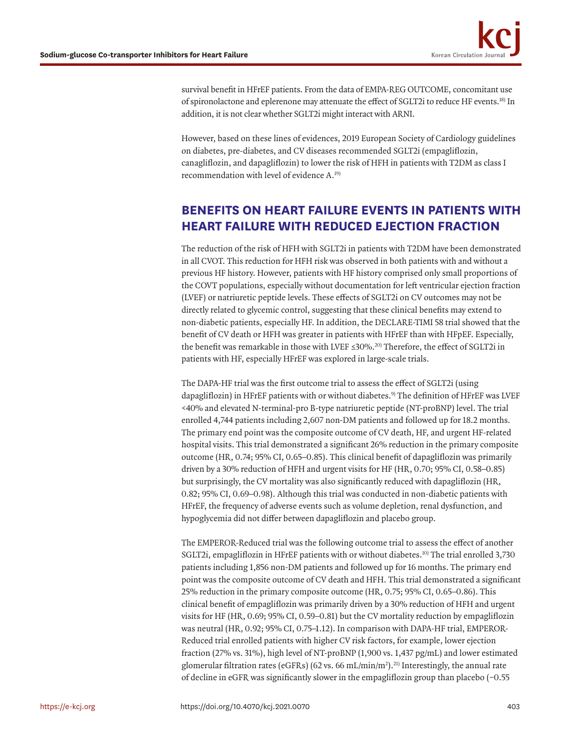<span id="page-4-1"></span>survival benefit in HFrEF patients. From the data of EMPA-REG OUTCOME, concomitant use of spironolactone and eplerenone may attenuate the effect of SGLT2i to reduce HF events[.18\)](#page-8-11) In addition, it is not clear whether SGLT2i might interact with ARNI.

However, based on these lines of evidences, 2019 European Society of Cardiology guidelines on diabetes, pre-diabetes, and CV diseases recommended SGLT2i (empagliflozin, canagliflozin, and dapagliflozin) to lower the risk of HFH in patients with T2DM as class I recommendation with level of evidence A[.19\)](#page-8-12)

# <span id="page-4-2"></span>**BENEFITS ON HEART FAILURE EVENTS IN PATIENTS WITH HEART FAILURE WITH REDUCED EJECTION FRACTION**

The reduction of the risk of HFH with SGLT2i in patients with T2DM have been demonstrated in all CVOT. This reduction for HFH risk was observed in both patients with and without a previous HF history. However, patients with HF history comprised only small proportions of the COVT populations, especially without documentation for left ventricular ejection fraction (LVEF) or natriuretic peptide levels. These effects of SGLT2i on CV outcomes may not be directly related to glycemic control, suggesting that these clinical benefits may extend to non-diabetic patients, especially HF. In addition, the DECLARE-TIMI 58 trial showed that the benefit of CV death or HFH was greater in patients with HFrEF than with HFpEF. Especially, the benefit was remarkable in those with LVEF  $\leq 30\%$ ,<sup>20)</sup> Therefore, the effect of SGLT2i in patients with HF, especially HFrEF was explored in large-scale trials.

<span id="page-4-3"></span><span id="page-4-0"></span>The DAPA-HF trial was the first outcome trial to assess the effect of SGLT2i (using dapagliflozin) in HFrEF patients with or without diabetes.<sup>[9\)](#page-8-2)</sup> The definition of HFrEF was LVEF <40% and elevated N-terminal-pro B-type natriuretic peptide (NT-proBNP) level. The trial enrolled 4,744 patients including 2,607 non-DM patients and followed up for 18.2 months. The primary end point was the composite outcome of CV death, HF, and urgent HF-related hospital visits. This trial demonstrated a significant 26% reduction in the primary composite outcome (HR, 0.74; 95% CI, 0.65–0.85). This clinical benefit of dapagliflozin was primarily driven by a 30% reduction of HFH and urgent visits for HF (HR, 0.70; 95% CI, 0.58–0.85) but surprisingly, the CV mortality was also significantly reduced with dapagliflozin (HR, 0.82; 95% CI, 0.69–0.98). Although this trial was conducted in non-diabetic patients with HFrEF, the frequency of adverse events such as volume depletion, renal dysfunction, and hypoglycemia did not differ between dapagliflozin and placebo group.

The EMPEROR-Reduced trial was the following outcome trial to assess the effect of another SGLT2i, empagliflozin in HFrEF patients with or without diabetes.<sup>10</sup> The trial enrolled 3,730 patients including 1,856 non-DM patients and followed up for 16 months. The primary end point was the composite outcome of CV death and HFH. This trial demonstrated a significant 25% reduction in the primary composite outcome (HR, 0.75; 95% CI, 0.65–0.86). This clinical benefit of empagliflozin was primarily driven by a 30% reduction of HFH and urgent visits for HF (HR, 0.69; 95% CI, 0.59–0.81) but the CV mortality reduction by empagliflozin was neutral (HR, 0.92; 95% CI, 0.75–1.12). In comparison with DAPA-HF trial, EMPEROR-Reduced trial enrolled patients with higher CV risk factors, for example, lower ejection fraction (27% vs. 31%), high level of NT-proBNP (1,900 vs. 1,437 pg/mL) and lower estimated glomerular filtration rates (eGFRs) (62 vs. 66 mL/min/m<sup>2</sup>).<sup>21)</sup> Interestingly, the annual rate of decline in eGFR was significantly slower in the empagliflozin group than placebo (−0.55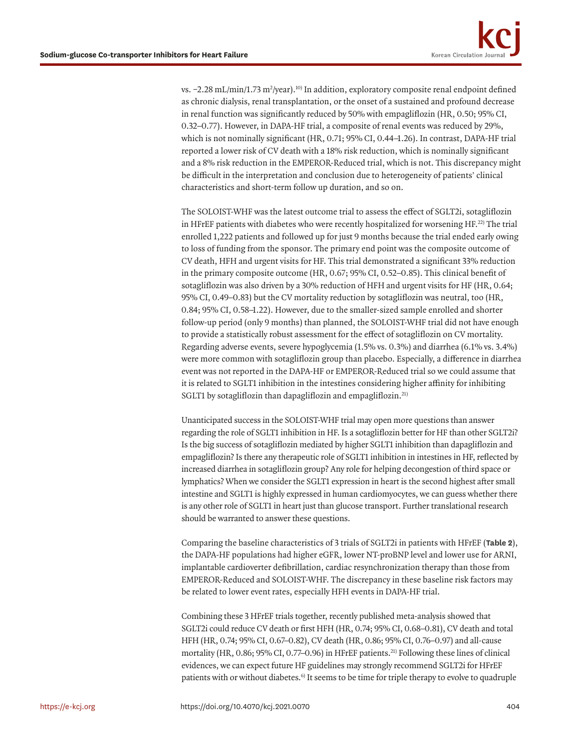<span id="page-5-1"></span>vs. –2.28 mL/min/1.73 m²/year).<sup>10)</sup> In addition, exploratory composite renal endpoint defined as chronic dialysis, renal transplantation, or the onset of a sustained and profound decrease in renal function was significantly reduced by 50% with empagliflozin (HR, 0.50; 95% CI, 0.32–0.77). However, in DAPA-HF trial, a composite of renal events was reduced by 29%, which is not nominally significant (HR, 0.71; 95% CI, 0.44–1.26). In contrast, DAPA-HF trial reported a lower risk of CV death with a 18% risk reduction, which is nominally significant and a 8% risk reduction in the EMPEROR-Reduced trial, which is not. This discrepancy might be difficult in the interpretation and conclusion due to heterogeneity of patients' clinical characteristics and short-term follow up duration, and so on.

The SOLOIST-WHF was the latest outcome trial to assess the effect of SGLT2i, sotagliflozin in HFrEF patients with diabetes who were recently hospitalized for worsening HF.[22\)](#page-8-15) The trial enrolled 1,222 patients and followed up for just 9 months because the trial ended early owing to loss of funding from the sponsor. The primary end point was the composite outcome of CV death, HFH and urgent visits for HF. This trial demonstrated a significant 33% reduction in the primary composite outcome (HR, 0.67; 95% CI, 0.52–0.85). This clinical benefit of sotagliflozin was also driven by a 30% reduction of HFH and urgent visits for HF (HR, 0.64; 95% CI, 0.49–0.83) but the CV mortality reduction by sotagliflozin was neutral, too (HR, 0.84; 95% CI, 0.58–1.22). However, due to the smaller-sized sample enrolled and shorter follow-up period (only 9 months) than planned, the SOLOIST-WHF trial did not have enough to provide a statistically robust assessment for the effect of sotagliflozin on CV mortality. Regarding adverse events, severe hypoglycemia (1.5% vs. 0.3%) and diarrhea (6.1% vs. 3.4%) were more common with sotagliflozin group than placebo. Especially, a difference in diarrhea event was not reported in the DAPA-HF or EMPEROR-Reduced trial so we could assume that it is related to SGLT1 inhibition in the intestines considering higher affinity for inhibiting SGLT1 by sotagliflozin than dapagliflozin and empagliflozin.<sup>[21\)](#page-8-14)</sup>

Unanticipated success in the SOLOIST-WHF trial may open more questions than answer regarding the role of SGLT1 inhibition in HF. Is a sotagliflozin better for HF than other SGLT2i? Is the big success of sotagliflozin mediated by higher SGLT1 inhibition than dapagliflozin and empagliflozin? Is there any therapeutic role of SGLT1 inhibition in intestines in HF, reflected by increased diarrhea in sotagliflozin group? Any role for helping decongestion of third space or lymphatics? When we consider the SGLT1 expression in heart is the second highest after small intestine and SGLT1 is highly expressed in human cardiomyocytes, we can guess whether there is any other role of SGLT1 in heart just than glucose transport. Further translational research should be warranted to answer these questions.

Comparing the baseline characteristics of 3 trials of SGLT2i in patients with HFrEF (**[Table 2](#page-6-0)**), the DAPA-HF populations had higher eGFR, lower NT-proBNP level and lower use for ARNI, implantable cardioverter defibrillation, cardiac resynchronization therapy than those from EMPEROR-Reduced and SOLOIST-WHF. The discrepancy in these baseline risk factors may be related to lower event rates, especially HFH events in DAPA-HF trial.

<span id="page-5-0"></span>Combining these 3 HFrEF trials together, recently published meta-analysis showed that SGLT2i could reduce CV death or first HFH (HR, 0.74; 95% CI, 0.68–0.81), CV death and total HFH (HR, 0.74; 95% CI, 0.67–0.82), CV death (HR, 0.86; 95% CI, 0.76–0.97) and all-cause mortality (HR, 0.86; 95% CI, 0.77–0.96) in HFrEF patients.<sup>21)</sup> Following these lines of clinical evidences, we can expect future HF guidelines may strongly recommend SGLT2i for HFrEF patients with or without diabetes.<sup>6)</sup> It seems to be time for triple therapy to evolve to quadruple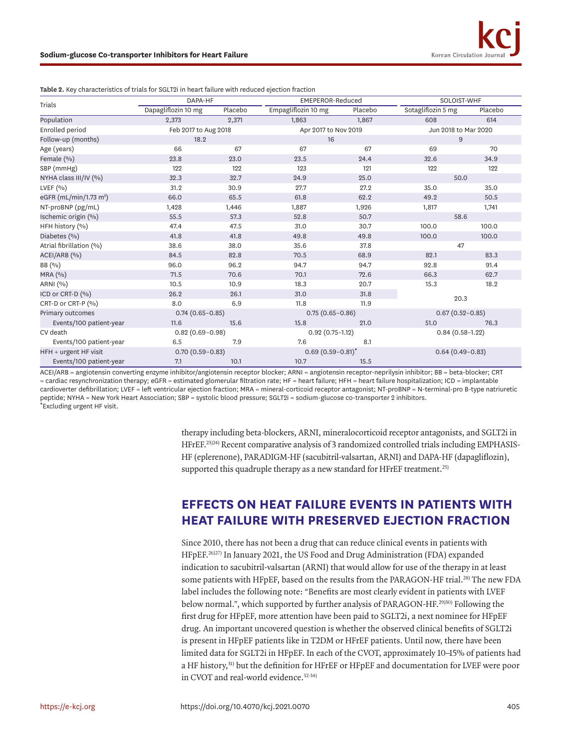| Trials                             | DAPA-HF              |         | <b>EMEPEROR-Reduced</b> |         | SOLOIST-WHF          |         |
|------------------------------------|----------------------|---------|-------------------------|---------|----------------------|---------|
|                                    | Dapagliflozin 10 mg  | Placebo | Empagliflozin 10 mg     | Placebo | Sotagliflozin 5 mg   | Placebo |
| Population                         | 2,373                | 2,371   | 1,863                   | 1,867   | 608                  | 614     |
| Enrolled period                    | Feb 2017 to Aug 2018 |         | Apr 2017 to Nov 2019    |         | Jun 2018 to Mar 2020 |         |
| Follow-up (months)                 | 18.2                 |         | 16                      |         | 9                    |         |
| Age (years)                        | 66                   | 67      | 67                      | 67      | 69                   | 70      |
| Female (%)                         | 23.8                 | 23.0    | 23.5                    | 24.4    | 32.6                 | 34.9    |
| SBP (mmHg)                         | 122                  | 122     | 123                     | 121     | 122                  | 122     |
| NYHA class III/IV (%)              | 32.3                 | 32.7    | 24.9                    | 25.0    | 50.0                 |         |
| LVEF $(9/0)$                       | 31.2                 | 30.9    | 27.7                    | 27.2    | 35.0                 | 35.0    |
| eGFR (mL/min/1.73 m <sup>2</sup> ) | 66.0                 | 65.5    | 61.8                    | 62.2    | 49.2                 | 50.5    |
| NT-proBNP (pg/mL)                  | 1,428                | 1,446   | 1,887                   | 1,926   | 1,817                | 1,741   |
| Ischemic origin (%)                | 55.5                 | 57.3    | 52.8                    | 50.7    | 58.6                 |         |
| HFH history (%)                    | 47.4                 | 47.5    | 31.0                    | 30.7    | 100.0                | 100.0   |
| Diabetes (%)                       | 41.8                 | 41.8    | 49.8                    | 49.8    | 100.0                | 100.0   |
| Atrial fibrillation (%)            | 38.6                 | 38.0    | 35.6                    | 37.8    | 47                   |         |
| ACEI/ARB (%)                       | 84.5                 | 82.8    | 70.5                    | 68.9    | 82.1                 | 83.3    |
| BB (%)                             | 96.0                 | 96.2    | 94.7                    | 94.7    | 92.8                 | 91.4    |
| MRA (%)                            | 71.5                 | 70.6    | 70.1                    | 72.6    | 66.3                 | 62.7    |
| ARNI (%)                           | 10.5                 | 10.9    | 18.3                    | 20.7    | 15.3                 | 18.2    |
| ICD or CRT-D (%)                   | 26.2                 | 26.1    | 31.0                    | 31.8    | 20.3                 |         |
| CRT-D or CRT-P (%)                 | 8.0                  | 6.9     | 11.8                    | 11.9    |                      |         |
| Primary outcomes                   | $0.74(0.65 - 0.85)$  |         | $0.75(0.65 - 0.86)$     |         | $0.67(0.52 - 0.85)$  |         |
| Events/100 patient-year            | 11.6                 | 15.6    | 15.8                    | 21.0    | 51.0                 | 76.3    |
| CV death                           | $0.82(0.69 - 0.98)$  |         | $0.92(0.75 - 1.12)$     |         | $0.84(0.58-1.22)$    |         |
| Events/100 patient-year            | 6.5                  | 7.9     | 7.6                     | 8.1     |                      |         |
| HFH + urgent HF visit              | $0.70(0.59 - 0.83)$  |         | $0.69(0.59 - 0.81)^{*}$ |         | $0.64(0.49 - 0.83)$  |         |
| Events/100 patient-year            | 7.1                  | 10.1    | 10.7                    | 15.5    |                      |         |

<span id="page-6-0"></span>**Table 2.** Key characteristics of trials for SGLT2i in heart failure with reduced ejection fraction

ACEI/ARB = angiotensin converting enzyme inhibitor/angiotensin receptor blocker; ARNI = angiotensin receptor-neprilysin inhibitor; BB = beta-blocker; CRT = cardiac resynchronization therapy; eGFR = estimated glomerular filtration rate; HF = heart failure; HFH = heart failure hospitalization; ICD = implantable cardioverter defibrillation; LVEF = left ventricular ejection fraction; MRA = mineral-corticoid receptor antagonist; NT-proBNP = N-terminal-pro B-type natriuretic peptide; NYHA = New York Heart Association; SBP = systolic blood pressure; SGLT2i = sodium-glucose co-transporter 2 inhibitors. \*Excluding urgent HF visit.

> <span id="page-6-1"></span>therapy including beta-blockers, ARNI, mineralocorticoid receptor antagonists, and SGLT2i in HFrEF.[23\)](#page-8-16)[24\)](#page-8-17) Recent comparative analysis of 3 randomized controlled trials including EMPHASIS-HF (eplerenone), PARADIGM-HF (sacubitril-valsartan, ARNI) and DAPA-HF (dapagliflozin), supported this quadruple therapy as a new standard for HFrEF treatment.<sup>[25\)](#page-8-18)</sup>

### <span id="page-6-2"></span>**EFFECTS ON HEAT FAILURE EVENTS IN PATIENTS WITH HEAT FAILURE WITH PRESERVED EJECTION FRACTION**

<span id="page-6-7"></span><span id="page-6-6"></span><span id="page-6-5"></span><span id="page-6-4"></span><span id="page-6-3"></span>Since 2010, there has not been a drug that can reduce clinical events in patients with HFpEF[.26\)](#page-9-0)[27\)](#page-9-1) In January 2021, the US Food and Drug Administration (FDA) expanded indication to sacubitril-valsartan (ARNI) that would allow for use of the therapy in at least some patients with HFpEF, based on the results from the PARAGON-HF trial.<sup>28)</sup> The new FDA label includes the following note: "Benefits are most clearly evident in patients with LVEF below normal.", which supported by further analysis of PARAGON-HF.<sup>29)30)</sup> Following the first drug for HFpEF, more attention have been paid to SGLT2i, a next nominee for HFpEF drug. An important uncovered question is whether the observed clinical benefits of SGLT2i is present in HFpEF patients like in T2DM or HFrEF patients. Until now, there have been limited data for SGLT2i in HFpEF. In each of the CVOT, approximately 10–15% of patients had a HF history,[31\)](#page-9-5) but the definition for HFrEF or HFpEF and documentation for LVEF were poor in CVOT and real-world evidence<sup>32-[34\)](#page-9-7)</sup>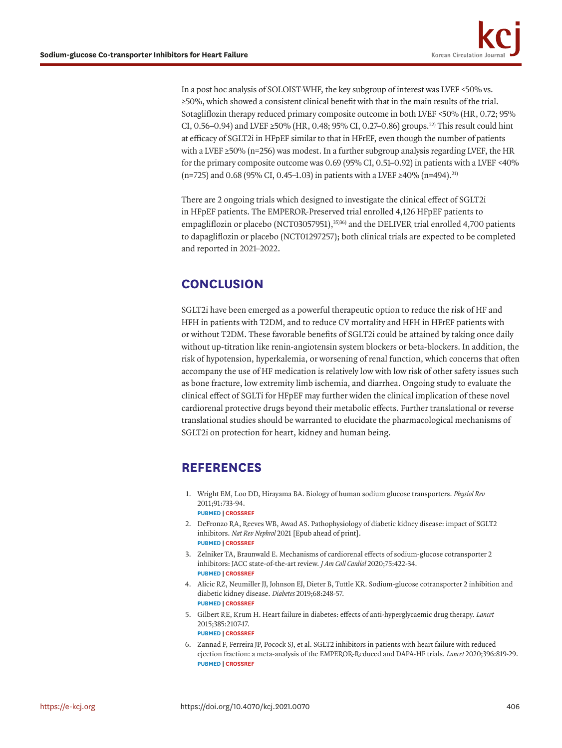<span id="page-7-7"></span>In a post hoc analysis of SOLOIST-WHF, the key subgroup of interest was LVEF <50% vs. ≥50%, which showed a consistent clinical benefit with that in the main results of the trial. Sotagliflozin therapy reduced primary composite outcome in both LVEF <50% (HR, 0.72; 95% CI, 0.56–0.94) and LVEF ≥50% (HR, 0.48; 95% CI, 0.27–0.86) groups.<sup>22)</sup> This result could hint at efficacy of SGLT2i in HFpEF similar to that in HFrEF, even though the number of patients with a LVEF  $\geq$ 50% (n=256) was modest. In a further subgroup analysis regarding LVEF, the HR for the primary composite outcome was 0.69 (95% CI, 0.51–0.92) in patients with a LVEF <40% (n=725) and 0.68 (95% CI, 0.45–1.03) in patients with a LVEF ≥40% (n=494).<sup>21)</sup>

<span id="page-7-8"></span><span id="page-7-6"></span>There are 2 ongoing trials which designed to investigate the clinical effect of SGLT2i in HFpEF patients. The EMPEROR-Preserved trial enrolled 4,126 HFpEF patients to empagliflozin or placebo [\(NCT03057951](http://clinicaltrials.gov/ct2/show/NCT03057951)),<sup>35)[36\)](#page-9-9)</sup> and the DELIVER trial enrolled 4,700 patients to dapagliflozin or placebo [\(NCT01297257](http://clinicaltrials.gov/ct2/show/NCT01297257)); both clinical trials are expected to be completed and reported in 2021–2022.

# **CONCLUSION**

SGLT2i have been emerged as a powerful therapeutic option to reduce the risk of HF and HFH in patients with T2DM, and to reduce CV mortality and HFH in HFrEF patients with or without T2DM. These favorable benefits of SGLT2i could be attained by taking once daily without up-titration like renin-angiotensin system blockers or beta-blockers. In addition, the risk of hypotension, hyperkalemia, or worsening of renal function, which concerns that often accompany the use of HF medication is relatively low with low risk of other safety issues such as bone fracture, low extremity limb ischemia, and diarrhea. Ongoing study to evaluate the clinical effect of SGLTi for HFpEF may further widen the clinical implication of these novel cardiorenal protective drugs beyond their metabolic effects. Further translational or reverse translational studies should be warranted to elucidate the pharmacological mechanisms of SGLT2i on protection for heart, kidney and human being.

# **REFERENCES**

- <span id="page-7-0"></span>[1.](#page-1-0) Wright EM, Loo DD, Hirayama BA. Biology of human sodium glucose transporters. *Physiol Rev* 2011;91:733-94. **[PUBMED](http://www.ncbi.nlm.nih.gov/pubmed/21527736) | [CROSSREF](https://doi.org/10.1152/physrev.00055.2009)**
- <span id="page-7-1"></span>[2.](#page-1-1) DeFronzo RA, Reeves WB, Awad AS. Pathophysiology of diabetic kidney disease: impact of SGLT2 inhibitors. *Nat Rev Nephrol* 2021 [Epub ahead of print]. **[PUBMED](http://www.ncbi.nlm.nih.gov/pubmed/33547417) | [CROSSREF](https://doi.org/10.1038/s41581-021-00393-8)**
- <span id="page-7-2"></span>[3.](#page-2-1) Zelniker TA, Braunwald E. Mechanisms of cardiorenal effects of sodium-glucose cotransporter 2 inhibitors: JACC state-of-the-art review. *J Am Coll Cardiol* 2020;75:422-34. **[PUBMED](http://www.ncbi.nlm.nih.gov/pubmed/32000955) | [CROSSREF](https://doi.org/10.1016/j.jacc.2019.11.031)**
- <span id="page-7-3"></span>[4.](#page-1-2) Alicic RZ, Neumiller JJ, Johnson EJ, Dieter B, Tuttle KR. Sodium-glucose cotransporter 2 inhibition and diabetic kidney disease. *Diabetes* 2019;68:248-57. **[PUBMED](http://www.ncbi.nlm.nih.gov/pubmed/30665953) | [CROSSREF](https://doi.org/10.2337/dbi18-0007)**
- <span id="page-7-4"></span>[5.](#page-1-3) Gilbert RE, Krum H. Heart failure in diabetes: effects of anti-hyperglycaemic drug therapy. *Lancet* 2015;385:2107-17. **[PUBMED](http://www.ncbi.nlm.nih.gov/pubmed/26009231) | [CROSSREF](https://doi.org/10.1016/S0140-6736(14)61402-1)**
- <span id="page-7-5"></span>[6.](#page-5-0) Zannad F, Ferreira JP, Pocock SJ, et al. SGLT2 inhibitors in patients with heart failure with reduced ejection fraction: a meta-analysis of the EMPEROR-Reduced and DAPA-HF trials. *Lancet* 2020;396:819-29. **[PUBMED](http://www.ncbi.nlm.nih.gov/pubmed/32877652) | [CROSSREF](https://doi.org/10.1016/S0140-6736(20)31824-9)**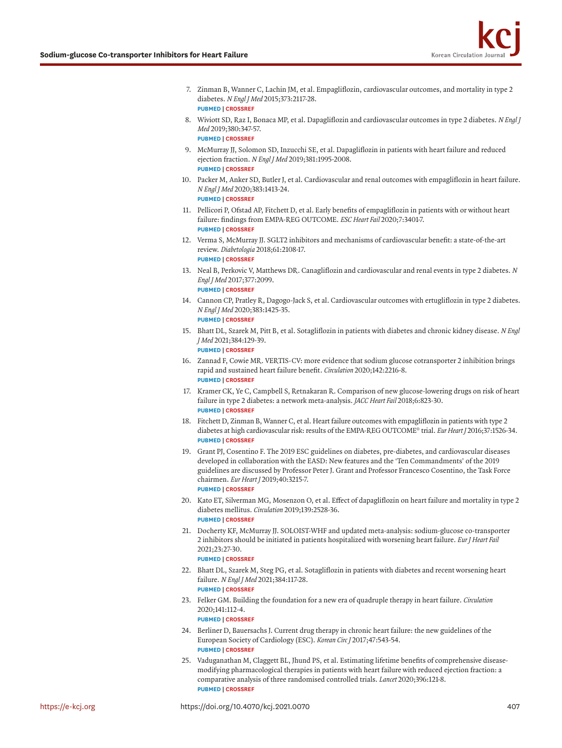- <span id="page-8-0"></span>[7.](#page-2-2) Zinman B, Wanner C, Lachin JM, et al. Empagliflozin, cardiovascular outcomes, and mortality in type 2 diabetes. *N Engl J Med* 2015;373:2117-28. **[PUBMED](http://www.ncbi.nlm.nih.gov/pubmed/26378978) | [CROSSREF](https://doi.org/10.1056/NEJMoa1504720)**
- <span id="page-8-1"></span>[8.](#page-3-0) Wiviott SD, Raz I, Bonaca MP, et al. Dapagliflozin and cardiovascular outcomes in type 2 diabetes. *N Engl J Med* 2019;380:347-57. **[PUBMED](http://www.ncbi.nlm.nih.gov/pubmed/30415602) | [CROSSREF](https://doi.org/10.1056/NEJMoa1812389)**
- <span id="page-8-2"></span>[9.](#page-4-0) McMurray JJ, Solomon SD, Inzucchi SE, et al. Dapagliflozin in patients with heart failure and reduced ejection fraction. *N Engl J Med* 2019;381:1995-2008. **[PUBMED](http://www.ncbi.nlm.nih.gov/pubmed/31535829) | [CROSSREF](https://doi.org/10.1056/NEJMoa1911303)**
- <span id="page-8-3"></span>[10.](#page-5-1) Packer M, Anker SD, Butler J, et al. Cardiovascular and renal outcomes with empagliflozin in heart failure. *N Engl J Med* 2020;383:1413-24. **[PUBMED](http://www.ncbi.nlm.nih.gov/pubmed/32865377) | [CROSSREF](https://doi.org/10.1056/NEJMoa2022190)**
- <span id="page-8-4"></span>[11.](#page-2-3) Pellicori P, Ofstad AP, Fitchett D, et al. Early benefits of empagliflozin in patients with or without heart failure: findings from EMPA-REG OUTCOME. *ESC Heart Fail* 2020;7:3401-7. **[PUBMED](http://www.ncbi.nlm.nih.gov/pubmed/32915523) | [CROSSREF](https://doi.org/10.1002/ehf2.12891)**
- <span id="page-8-5"></span>[12.](#page-2-1) Verma S, McMurray JJ. SGLT2 inhibitors and mechanisms of cardiovascular benefit: a state-of-the-art review. *Diabetologia* 2018;61:2108-17. **[PUBMED](http://www.ncbi.nlm.nih.gov/pubmed/30132036) | [CROSSREF](https://doi.org/10.1007/s00125-018-4670-7)**
- <span id="page-8-6"></span>[13.](#page-2-4) Neal B, Perkovic V, Matthews DR. Canagliflozin and cardiovascular and renal events in type 2 diabetes. *<sup>N</sup> Engl J Med* 2017;377:2099. **[PUBMED](http://www.ncbi.nlm.nih.gov/pubmed/29166232) | [CROSSREF](https://doi.org/10.1056/NEJMoa1611925)**
- <span id="page-8-7"></span>[14.](#page-3-1) Cannon CP, Pratley R, Dagogo-Jack S, et al. Cardiovascular outcomes with ertugliflozin in type 2 diabetes. *N Engl J Med* 2020;383:1425-35. **[PUBMED](http://www.ncbi.nlm.nih.gov/pubmed/32966714) | [CROSSREF](https://doi.org/10.1056/NEJMoa2004967)**
- <span id="page-8-8"></span>[15.](#page-3-2) Bhatt DL, Szarek M, Pitt B, et al. Sotagliflozin in patients with diabetes and chronic kidney disease. *N Engl J Med* 2021;384:129-39. **[PUBMED](http://www.ncbi.nlm.nih.gov/pubmed/33200891) | [CROSSREF](https://doi.org/10.1056/NEJMoa2030186)**
- <span id="page-8-9"></span>[16.](#page-3-3) Zannad F, Cowie MR. VERTIS-CV: more evidence that sodium glucose cotransporter 2 inhibition brings rapid and sustained heart failure benefit. *Circulation* 2020;142:2216-8. **[PUBMED](http://www.ncbi.nlm.nih.gov/pubmed/33284652) | [CROSSREF](https://doi.org/10.1161/CIRCULATIONAHA.120.050512)**
- <span id="page-8-10"></span>[17.](#page-3-4) Kramer CK, Ye C, Campbell S, Retnakaran R. Comparison of new glucose-lowering drugs on risk of heart failure in type 2 diabetes: a network meta-analysis. *JACC Heart Fail* 2018;6:823-30. **[PUBMED](http://www.ncbi.nlm.nih.gov/pubmed/30196071) | [CROSSREF](https://doi.org/10.1016/j.jchf.2018.05.021)**
- <span id="page-8-11"></span>[18.](#page-4-1) Fitchett D, Zinman B, Wanner C, et al. Heart failure outcomes with empagliflozin in patients with type 2 diabetes at high cardiovascular risk: results of the EMPA-REG OUTCOME® trial. *Eur Heart J* 2016;37:1526-34. **[PUBMED](http://www.ncbi.nlm.nih.gov/pubmed/26819227) | [CROSSREF](https://doi.org/10.1093/eurheartj/ehv728)**
- <span id="page-8-12"></span>[19.](#page-4-2) Grant PJ, Cosentino F. The 2019 ESC guidelines on diabetes, pre-diabetes, and cardiovascular diseases developed in collaboration with the EASD: New features and the 'Ten Commandments' of the 2019 guidelines are discussed by Professor Peter J. Grant and Professor Francesco Cosentino, the Task Force chairmen. *Eur Heart J* 2019;40:3215-7. **[PUBMED](http://www.ncbi.nlm.nih.gov/pubmed/31608951) | [CROSSREF](https://doi.org/10.1093/eurheartj/ehz687)**
- <span id="page-8-13"></span>[20.](#page-4-3) Kato ET, Silverman MG, Mosenzon O, et al. Effect of dapagliflozin on heart failure and mortality in type 2 diabetes mellitus. *Circulation* 2019;139:2528-36. **[PUBMED](http://www.ncbi.nlm.nih.gov/pubmed/30882238) | [CROSSREF](https://doi.org/10.1161/CIRCULATIONAHA.119.040130)**
- <span id="page-8-14"></span>[21.](#page-7-6) Docherty KF, McMurray JJ. SOLOIST-WHF and updated meta-analysis: sodium-glucose co-transporter 2 inhibitors should be initiated in patients hospitalized with worsening heart failure. *Eur J Heart Fail* 2021;23:27-30.

#### **[PUBMED](http://www.ncbi.nlm.nih.gov/pubmed/33283384) | [CROSSREF](https://doi.org/10.1002/ejhf.2075)**

- <span id="page-8-15"></span>[22.](#page-7-7) Bhatt DL, Szarek M, Steg PG, et al. Sotagliflozin in patients with diabetes and recent worsening heart failure. *N Engl J Med* 2021;384:117-28. **[PUBMED](http://www.ncbi.nlm.nih.gov/pubmed/33200892) | [CROSSREF](https://doi.org/10.1056/NEJMoa2030183)**
- <span id="page-8-16"></span>[23.](#page-6-1) Felker GM. Building the foundation for a new era of quadruple therapy in heart failure. *Circulation* 2020;141:112-4. **[PUBMED](http://www.ncbi.nlm.nih.gov/pubmed/31736333) | [CROSSREF](https://doi.org/10.1161/CIRCULATIONAHA.119.044578)**
- <span id="page-8-17"></span>[24.](#page-6-1) Berliner D, Bauersachs J. Current drug therapy in chronic heart failure: the new guidelines of the European Society of Cardiology (ESC). *Korean Circ J* 2017;47:543-54. **[PUBMED](http://www.ncbi.nlm.nih.gov/pubmed/28955380) | [CROSSREF](https://doi.org/10.4070/kcj.2017.0030)**
- <span id="page-8-18"></span>[25.](#page-6-2) Vaduganathan M, Claggett BL, Jhund PS, et al. Estimating lifetime benefits of comprehensive diseasemodifying pharmacological therapies in patients with heart failure with reduced ejection fraction: a comparative analysis of three randomised controlled trials. *Lancet* 2020;396:121-8. **[PUBMED](http://www.ncbi.nlm.nih.gov/pubmed/32446323) | [CROSSREF](https://doi.org/10.1016/S0140-6736(20)30748-0)**